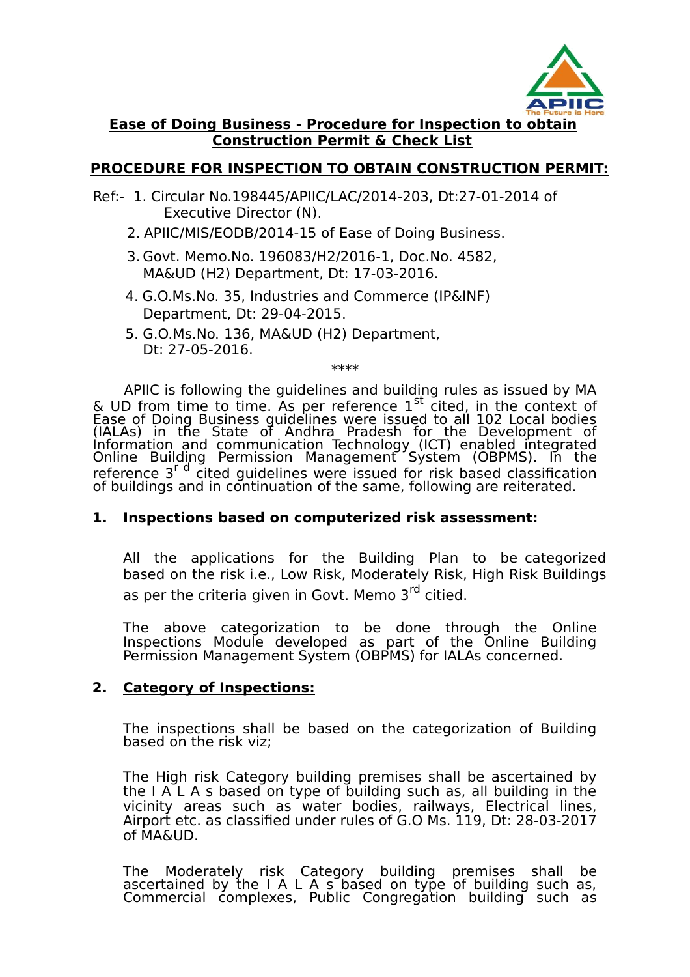

## **Ease of Doing Business - Procedure for Inspection to obtain Construction Permit & Check List**

# **PROCEDURE FOR INSPECTION TO OBTAIN CONSTRUCTION PERMIT:**

- Ref:- 1. Circular No.198445/APIIC/LAC/2014-203, Dt:27-01-2014 of Executive Director (N).
	- 2. APIIC/MIS/EODB/2014-15 of Ease of Doing Business.
	- 3. Govt. Memo.No. 196083/H2/2016-1, Doc.No. 4582, MA&UD (H2) Department, Dt: 17-03-2016.
	- 4. G.O.Ms.No. 35, Industries and Commerce (IP&INF) Department, Dt: 29-04-2015.
	- 5. G.O.Ms.No. 136, MA&UD (H2) Department, Dt: 27-05-2016.

\*\*\*\*

APIIC is following the guidelines and building rules as issued by MA & UD from time to time. As per reference  $1<sup>st</sup>$  cited, in the context of Ease of Doing Business guidelines were issued to all 102 Local bodies (IALAs) in the State of Andhra Pradesh for the Development of Information and communication Technology (ICT) enabled integrated Online Building Permission Management System (OBPMS). In the reference 3<sup>r d</sup> cited guidelines were issued for risk based classification of buildings and in continuation of the same, following are reiterated.

## **1. Inspections based on computerized risk assessment:**

All the applications for the Building Plan to be categorized based on the risk i.e., Low Risk, Moderately Risk, High Risk Buildings as per the criteria given in Govt. Memo 3<sup>rd</sup> citied.

The above categorization to be done through the Online Inspections Module developed as part of the Online Building Permission Management System (OBPMS) for IALAs concerned.

## **2. Category of Inspections:**

The inspections shall be based on the categorization of Building based on the risk viz;

The High risk Category building premises shall be ascertained by the I A L A s based on type of building such as, all building in the vicinity areas such as water bodies, railways, Electrical lines, Airport etc. as classified under rules of G.O Ms. 119, Dt: 28-03-2017 of MA&UD.

The Moderately risk Category building premises shall be ascertained by the I A L A s based on type of building such as, Commercial complexes, Public Congregation building such as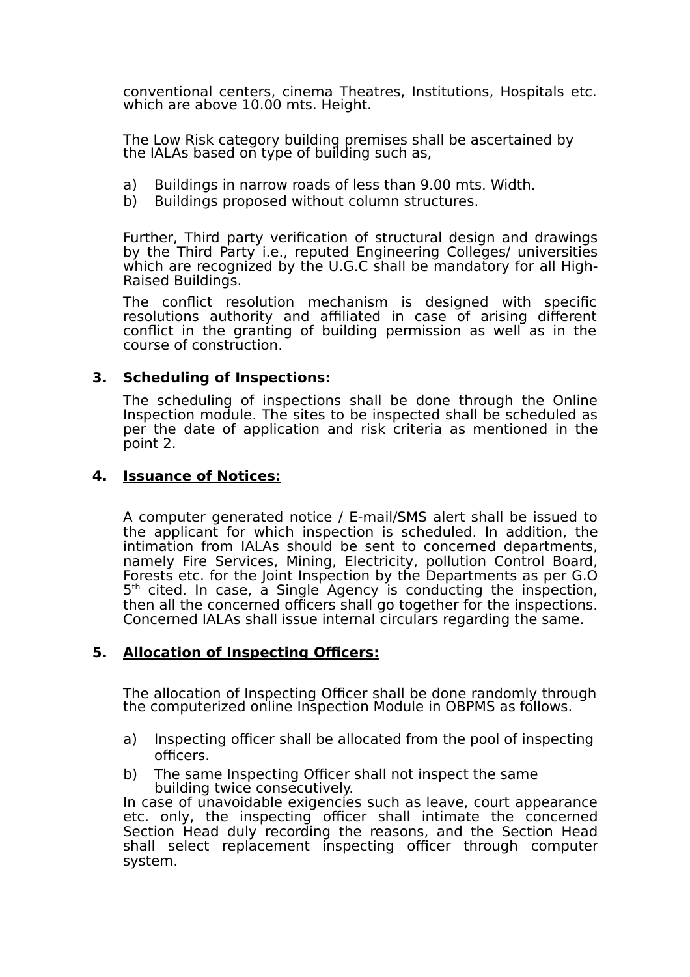conventional centers, cinema Theatres, Institutions, Hospitals etc. which are above 10.00 mts. Height.

The Low Risk category building premises shall be ascertained by the IALAs based on type of building such as,

- a) Buildings in narrow roads of less than 9.00 mts. Width.
- b) Buildings proposed without column structures.

Further, Third party verification of structural design and drawings by the Third Party i.e., reputed Engineering Colleges/ universities which are recognized by the U.G.C shall be mandatory for all High-Raised Buildings.

The conflict resolution mechanism is designed with specific resolutions authority and affiliated in case of arising different conflict in the granting of building permission as well as in the course of construction.

## **3. Scheduling of Inspections:**

The scheduling of inspections shall be done through the Online Inspection module. The sites to be inspected shall be scheduled as per the date of application and risk criteria as mentioned in the point 2.

### **4. Issuance of Notices:**

A computer generated notice / E-mail/SMS alert shall be issued to the applicant for which inspection is scheduled. In addition, the intimation from IALAs should be sent to concerned departments, namely Fire Services, Mining, Electricity, pollution Control Board, Forests etc. for the Joint Inspection by the Departments as per G.O 5<sup>th</sup> cited. In case, a Single Agency is conducting the inspection, then all the concerned officers shall go together for the inspections. Concerned IALAs shall issue internal circulars regarding the same.

### **5. Allocation of Inspecting Officers:**

The allocation of Inspecting Officer shall be done randomly through the computerized online Inspection Module in OBPMS as follows.

- a) Inspecting officer shall be allocated from the pool of inspecting officers.
- b) The same Inspecting Officer shall not inspect the same building twice consecutively.

In case of unavoidable exigencies such as leave, court appearance etc. only, the inspecting officer shall intimate the concerned Section Head duly recording the reasons, and the Section Head shall select replacement inspecting officer through computer system.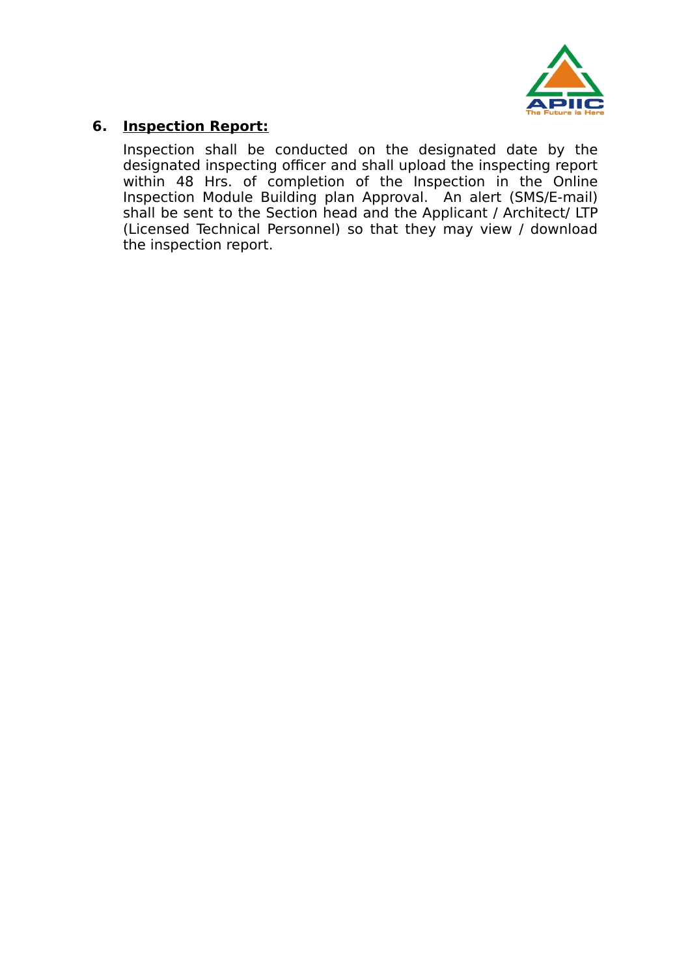

# **6. Inspection Report:**

Inspection shall be conducted on the designated date by the designated inspecting officer and shall upload the inspecting report within 48 Hrs. of completion of the Inspection in the Online Inspection Module Building plan Approval. An alert (SMS/E-mail) shall be sent to the Section head and the Applicant / Architect/ LTP (Licensed Technical Personnel) so that they may view / download the inspection report.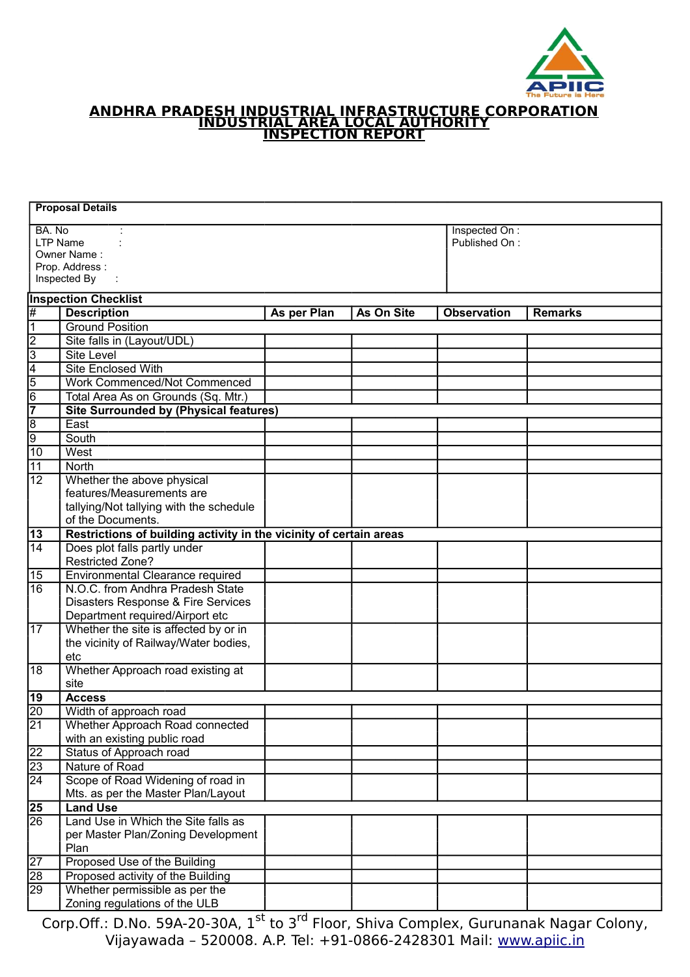

#### **ANDHRA PRADESH INDUSTRIAL INFRASTRUCTURE CORPORATION INDUSTRIAL AREA LOCAL AUTHORITY INSPECTION REPORT**

|                                                                            | <b>Proposal Details</b>                                            |             |            |                                |                |  |  |
|----------------------------------------------------------------------------|--------------------------------------------------------------------|-------------|------------|--------------------------------|----------------|--|--|
| BA. No<br><b>LTP Name</b><br>Owner Name:<br>Prop. Address:<br>Inspected By |                                                                    |             |            | Inspected On:<br>Published On: |                |  |  |
|                                                                            | <b>Inspection Checklist</b>                                        |             |            |                                |                |  |  |
| #                                                                          | <b>Description</b>                                                 | As per Plan | As On Site | <b>Observation</b>             | <b>Remarks</b> |  |  |
| 1                                                                          | <b>Ground Position</b>                                             |             |            |                                |                |  |  |
| $\overline{c}$                                                             | Site falls in (Layout/UDL)                                         |             |            |                                |                |  |  |
| $\overline{3}$                                                             | <b>Site Level</b>                                                  |             |            |                                |                |  |  |
| $\overline{4}$                                                             | <b>Site Enclosed With</b>                                          |             |            |                                |                |  |  |
| $\overline{5}$                                                             | Work Commenced/Not Commenced                                       |             |            |                                |                |  |  |
| $\overline{6}$                                                             | Total Area As on Grounds (Sq. Mtr.)                                |             |            |                                |                |  |  |
|                                                                            | <b>Site Surrounded by (Physical features)</b>                      |             |            |                                |                |  |  |
| $\overline{8}$                                                             | East                                                               |             |            |                                |                |  |  |
| $\overline{9}$                                                             | South                                                              |             |            |                                |                |  |  |
| $\overline{10}$                                                            | West                                                               |             |            |                                |                |  |  |
| $\overline{11}$                                                            | North                                                              |             |            |                                |                |  |  |
| $\overline{12}$                                                            | Whether the above physical                                         |             |            |                                |                |  |  |
|                                                                            | features/Measurements are                                          |             |            |                                |                |  |  |
|                                                                            | tallying/Not tallying with the schedule                            |             |            |                                |                |  |  |
|                                                                            | of the Documents.                                                  |             |            |                                |                |  |  |
| 13                                                                         | Restrictions of building activity in the vicinity of certain areas |             |            |                                |                |  |  |
| 14                                                                         | Does plot falls partly under<br><b>Restricted Zone?</b>            |             |            |                                |                |  |  |
| 15                                                                         | Environmental Clearance required                                   |             |            |                                |                |  |  |
| 16                                                                         | N.O.C. from Andhra Pradesh State                                   |             |            |                                |                |  |  |
|                                                                            | Disasters Response & Fire Services                                 |             |            |                                |                |  |  |
|                                                                            | Department required/Airport etc                                    |             |            |                                |                |  |  |
| 17                                                                         | Whether the site is affected by or in                              |             |            |                                |                |  |  |
|                                                                            | the vicinity of Railway/Water bodies,                              |             |            |                                |                |  |  |
|                                                                            | etc                                                                |             |            |                                |                |  |  |
| 18                                                                         | Whether Approach road existing at                                  |             |            |                                |                |  |  |
|                                                                            | site                                                               |             |            |                                |                |  |  |
| 19                                                                         | <b>Access</b>                                                      |             |            |                                |                |  |  |
| 20                                                                         | Width of approach road                                             |             |            |                                |                |  |  |
| 21                                                                         | Whether Approach Road connected                                    |             |            |                                |                |  |  |
|                                                                            | with an existing public road                                       |             |            |                                |                |  |  |
| $\overline{22}$                                                            | Status of Approach road                                            |             |            |                                |                |  |  |
| $\overline{23}$                                                            | Nature of Road                                                     |             |            |                                |                |  |  |
| $\overline{24}$                                                            | Scope of Road Widening of road in                                  |             |            |                                |                |  |  |
|                                                                            | Mts. as per the Master Plan/Layout                                 |             |            |                                |                |  |  |
| $\overline{25}$                                                            | <b>Land Use</b>                                                    |             |            |                                |                |  |  |
| 26                                                                         | Land Use in Which the Site falls as                                |             |            |                                |                |  |  |
|                                                                            | per Master Plan/Zoning Development<br>Plan                         |             |            |                                |                |  |  |
| $\overline{27}$                                                            | Proposed Use of the Building                                       |             |            |                                |                |  |  |
| 28                                                                         | Proposed activity of the Building                                  |             |            |                                |                |  |  |
| 29                                                                         | Whether permissible as per the                                     |             |            |                                |                |  |  |
|                                                                            | Zoning regulations of the ULB                                      |             |            |                                |                |  |  |
|                                                                            |                                                                    |             |            |                                |                |  |  |

Corp.Off.: D.No. 59A-20-30A, 1<sup>st</sup> to 3<sup>rd</sup> Floor, Shiva Complex, Gurunanak Nagar Colony, Vijayawada – 520008. A.P. Tel: +91-0866-2428301 Mail: [www.apiic.in](http://www.apiic.in/)